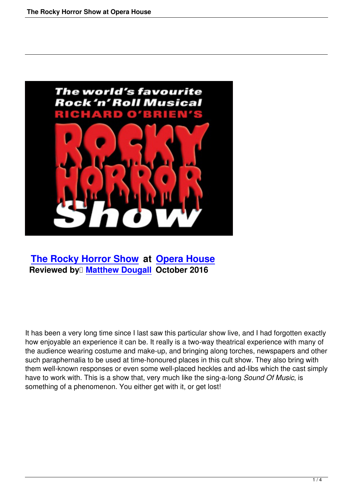

 **The Rocky Horror Show at Opera House Reviewed by Matthew Dougall October 2016** 

It has been a very long time since I last saw this particular show live, and I had forgotten exactly how enjoyable an experience it can be. It really is a two-way theatrical experience with many of the audience wearing costume and make-up, and bringing along torches, newspapers and other such paraphernalia to be used at time-honoured places in this cult show. They also bring with them well-known responses or even some well-placed heckles and ad-libs which the cast simply have to work with. This is a show that, very much like the sing-a-long *Sound Of Music*, is something of a phenomenon. You either get with it, or get lost!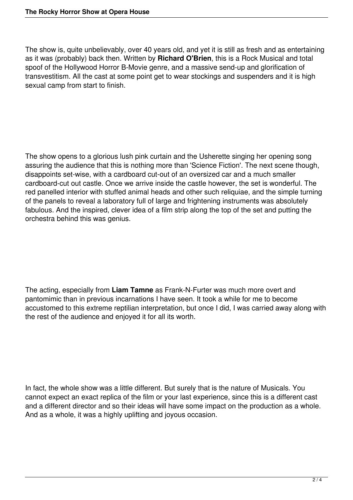The show is, quite unbelievably, over 40 years old, and yet it is still as fresh and as entertaining as it was (probably) back then. Written by **Richard O'Brien**, this is a Rock Musical and total spoof of the Hollywood Horror B-Movie genre, and a massive send-up and glorification of transvestitism. All the cast at some point get to wear stockings and suspenders and it is high sexual camp from start to finish.

The show opens to a glorious lush pink curtain and the Usherette singing her opening song assuring the audience that this is nothing more than 'Science Fiction'. The next scene though, disappoints set-wise, with a cardboard cut-out of an oversized car and a much smaller cardboard-cut out castle. Once we arrive inside the castle however, the set is wonderful. The red panelled interior with stuffed animal heads and other such reliquiae, and the simple turning of the panels to reveal a laboratory full of large and frightening instruments was absolutely fabulous. And the inspired, clever idea of a film strip along the top of the set and putting the orchestra behind this was genius.

The acting, especially from **Liam Tamne** as Frank-N-Furter was much more overt and pantomimic than in previous incarnations I have seen. It took a while for me to become accustomed to this extreme reptilian interpretation, but once I did, I was carried away along with the rest of the audience and enjoyed it for all its worth.

In fact, the whole show was a little different. But surely that is the nature of Musicals. You cannot expect an exact replica of the film or your last experience, since this is a different cast and a different director and so their ideas will have some impact on the production as a whole. And as a whole, it was a highly uplifting and joyous occasion.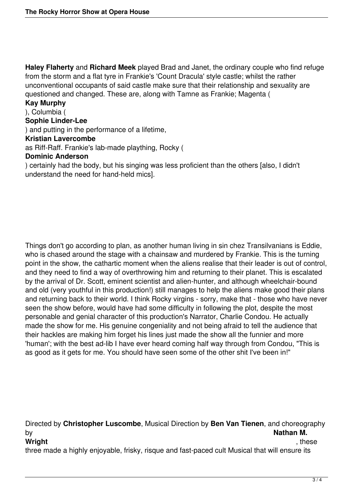**Haley Flaherty** and **Richard Meek** played Brad and Janet, the ordinary couple who find refuge from the storm and a flat tyre in Frankie's 'Count Dracula' style castle; whilst the rather unconventional occupants of said castle make sure that their relationship and sexuality are questioned and changed. These are, along with Tamne as Frankie; Magenta (

## **Kay Murphy**

# ), Columbia (

# **Sophie Linder-Lee**

) and putting in the performance of a lifetime,

# **Kristian Lavercombe**

as Riff-Raff. Frankie's lab-made plaything, Rocky (

## **Dominic Anderson**

) certainly had the body, but his singing was less proficient than the others [also, I didn't understand the need for hand-held mics].

Things don't go according to plan, as another human living in sin chez Transilvanians is Eddie, who is chased around the stage with a chainsaw and murdered by Frankie. This is the turning point in the show, the cathartic moment when the aliens realise that their leader is out of control, and they need to find a way of overthrowing him and returning to their planet. This is escalated by the arrival of Dr. Scott, eminent scientist and alien-hunter, and although wheelchair-bound and old (very youthful in this production!) still manages to help the aliens make good their plans and returning back to their world. I think Rocky virgins - sorry, make that - those who have never seen the show before, would have had some difficulty in following the plot, despite the most personable and genial character of this production's Narrator, Charlie Condou. He actually made the show for me. His genuine congeniality and not being afraid to tell the audience that their hackles are making him forget his lines just made the show all the funnier and more 'human'; with the best ad-lib I have ever heard coming half way through from Condou, "This is as good as it gets for me. You should have seen some of the other shit I've been in!"

Directed by **Christopher Luscombe**, Musical Direction by **Ben Van Tienen**, and choreography by **Nathan M.**

### **Wright** , these

three made a highly enjoyable, frisky, risque and fast-paced cult Musical that will ensure its